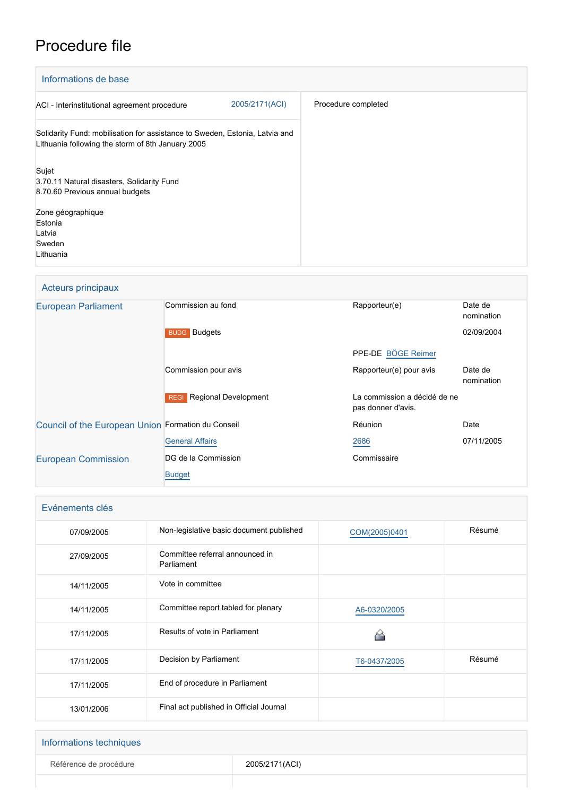# Procedure file

| Informations de base                                                                                                             |                     |
|----------------------------------------------------------------------------------------------------------------------------------|---------------------|
| 2005/2171(ACI)<br>ACI - Interinstitutional agreement procedure                                                                   | Procedure completed |
| Solidarity Fund: mobilisation for assistance to Sweden, Estonia, Latvia and<br>Lithuania following the storm of 8th January 2005 |                     |
| Sujet<br>3.70.11 Natural disasters, Solidarity Fund<br>8.70.60 Previous annual budgets                                           |                     |
| Zone géographique<br>Estonia<br>Latvia<br>Sweden<br>Lithuania                                                                    |                     |

### Acteurs principaux

| <b>European Parliament</b>                         | Commission au fond                         | Rapporteur(e)                                      | Date de<br>nomination |
|----------------------------------------------------|--------------------------------------------|----------------------------------------------------|-----------------------|
|                                                    | <b>BUDG</b> Budgets                        |                                                    | 02/09/2004            |
|                                                    |                                            | PPE-DE BÖGE Reimer                                 |                       |
|                                                    | Commission pour avis                       | Rapporteur(e) pour avis                            | Date de<br>nomination |
|                                                    | <b>Regional Development</b><br><b>REGI</b> | La commission a décidé de ne<br>pas donner d'avis. |                       |
| Council of the European Union Formation du Conseil |                                            | Réunion                                            | Date                  |
|                                                    | <b>General Affairs</b>                     | 2686                                               | 07/11/2005            |
| <b>European Commission</b>                         | DG de la Commission                        | Commissaire                                        |                       |
|                                                    | <b>Budget</b>                              |                                                    |                       |

| Evénements clés |                                               |               |        |
|-----------------|-----------------------------------------------|---------------|--------|
| 07/09/2005      | Non-legislative basic document published      | COM(2005)0401 | Résumé |
| 27/09/2005      | Committee referral announced in<br>Parliament |               |        |
| 14/11/2005      | Vote in committee                             |               |        |
| 14/11/2005      | Committee report tabled for plenary           | A6-0320/2005  |        |
| 17/11/2005      | Results of vote in Parliament                 |               |        |
| 17/11/2005      | Decision by Parliament                        | T6-0437/2005  | Résumé |
| 17/11/2005      | End of procedure in Parliament                |               |        |
| 13/01/2006      | Final act published in Official Journal       |               |        |

| Informations techniques |                |
|-------------------------|----------------|
| Référence de procédure  | 2005/2171(ACI) |
|                         |                |